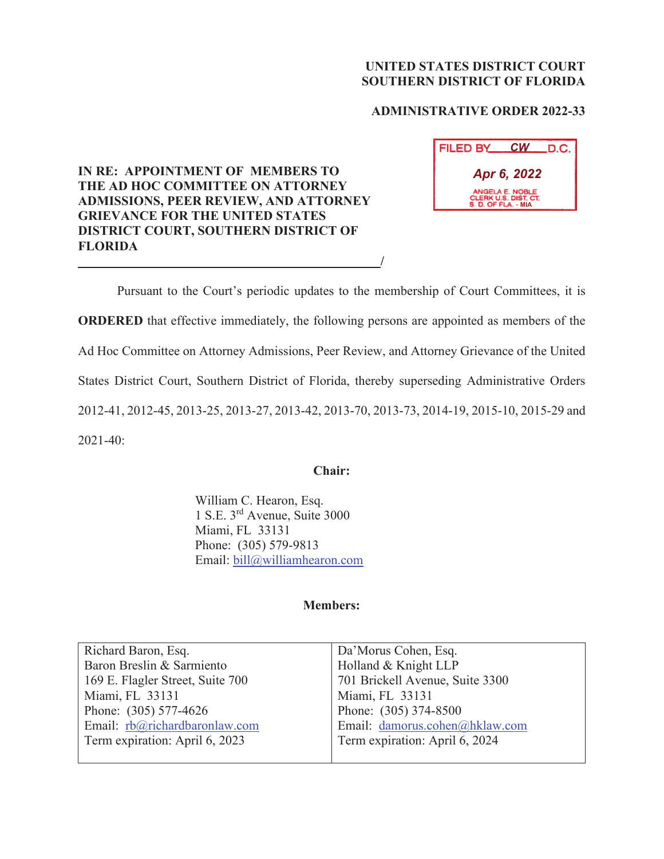# **UNITED STATES DISTRICT COURT SOUTHERN DISTRICT OF FLORIDA**

## **ADMINISTRATIVE ORDER 2022-33**

# **IN RE: APPOINTMENT OF MEMBERS TO THE AD HOC COMMITTEE ON ATTORNEY ADMISSIONS, PEER REVIEW, AND ATTORNEY GRIEVANCE FOR THE UNITED STATES DISTRICT COURT, SOUTHERN DISTRICT OF FLORIDA /**

| FILED BY                                                       | <b>CW</b> | LD.C. |  |
|----------------------------------------------------------------|-----------|-------|--|
| Apr 6, 2022                                                    |           |       |  |
| ANGELA E. NOBLE<br>CLERK U.S. DIST. CT.<br>S. D. OF FLA. - MIA |           |       |  |

 Pursuant to the Court's periodic updates to the membership of Court Committees, it is **ORDERED** that effective immediately, the following persons are appointed as members of the Ad Hoc Committee on Attorney Admissions, Peer Review, and Attorney Grievance of the United States District Court, Southern District of Florida, thereby superseding Administrative Orders 2012-41, 2012-45, 2013-25, 2013-27, 2013-42, 2013-70, 2013-73, 2014-19, 2015-10, 2015-29 and 2021-40:

### **Chair:**

 William C. Hearon, Esq. 1 S.E. 3rd Avenue, Suite 3000 Miami, FL 33131 Phone: (305) 579-9813 Email: bill@williamhearon.com

## **Members:**

| Richard Baron, Esq.              | Da'Morus Cohen, Esq.            |
|----------------------------------|---------------------------------|
| Baron Breslin & Sarmiento        | Holland & Knight LLP            |
| 169 E. Flagler Street, Suite 700 | 701 Brickell Avenue, Suite 3300 |
| Miami, FL 33131                  | Miami, FL 33131                 |
| Phone: (305) 577-4626            | Phone: (305) 374-8500           |
| Email: rb@richardbaronlaw.com    | Email: damorus.cohen@hklaw.com  |
| Term expiration: April 6, 2023   | Term expiration: April 6, 2024  |
|                                  |                                 |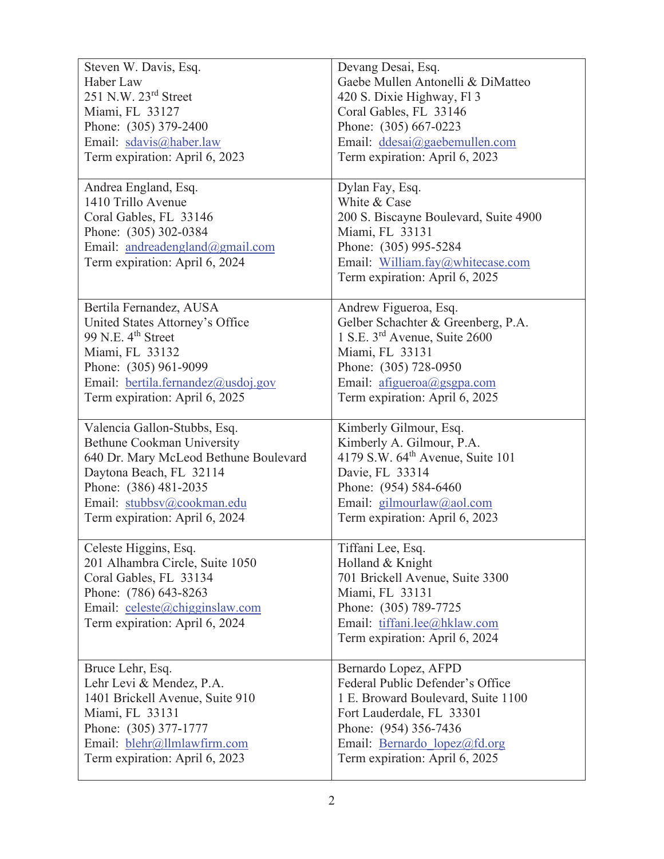| Steven W. Davis, Esq.                                         | Devang Desai, Esq.                                             |  |
|---------------------------------------------------------------|----------------------------------------------------------------|--|
| Haber Law                                                     | Gaebe Mullen Antonelli & DiMatteo                              |  |
| $251$ N.W. $23rd$ Street                                      | 420 S. Dixie Highway, Fl 3                                     |  |
| Miami, FL 33127                                               | Coral Gables, FL 33146                                         |  |
| Phone: (305) 379-2400                                         | Phone: (305) 667-0223                                          |  |
| Email: sdavis@haber.law                                       | Email: ddesai@gaebemullen.com                                  |  |
| Term expiration: April 6, 2023                                | Term expiration: April 6, 2023                                 |  |
|                                                               |                                                                |  |
| Andrea England, Esq.                                          | Dylan Fay, Esq.                                                |  |
| 1410 Trillo Avenue                                            | White & Case                                                   |  |
| Coral Gables, FL 33146                                        | 200 S. Biscayne Boulevard, Suite 4900                          |  |
| Phone: (305) 302-0384                                         | Miami, FL 33131                                                |  |
| Email: andreadengland@gmail.com                               | Phone: (305) 995-5284                                          |  |
| Term expiration: April 6, 2024                                | Email: William.fay@whitecase.com                               |  |
|                                                               | Term expiration: April 6, 2025                                 |  |
|                                                               |                                                                |  |
| Bertila Fernandez, AUSA                                       | Andrew Figueroa, Esq.                                          |  |
| United States Attorney's Office                               | Gelber Schachter & Greenberg, P.A.                             |  |
| 99 N.E. 4 <sup>th</sup> Street                                | 1 S.E. 3 <sup>rd</sup> Avenue, Suite 2600                      |  |
| Miami, FL 33132                                               | Miami, FL 33131                                                |  |
| Phone: (305) 961-9099                                         | Phone: (305) 728-0950                                          |  |
| Email: bertila.fernandez@usdoj.gov                            | Email: afigueroa@gsgpa.com                                     |  |
| Term expiration: April 6, 2025                                | Term expiration: April 6, 2025                                 |  |
|                                                               |                                                                |  |
|                                                               | Kimberly Gilmour, Esq.                                         |  |
| Valencia Gallon-Stubbs, Esq.                                  |                                                                |  |
| <b>Bethune Cookman University</b>                             | Kimberly A. Gilmour, P.A.                                      |  |
| 640 Dr. Mary McLeod Bethune Boulevard                         | 4179 S.W. $64^{\text{th}}$ Avenue, Suite 101                   |  |
| Daytona Beach, FL 32114                                       | Davie, FL 33314                                                |  |
| Phone: (386) 481-2035                                         | Phone: (954) 584-6460                                          |  |
| Email: stubbsv@cookman.edu                                    | Email: gilmourlaw@aol.com                                      |  |
| Term expiration: April 6, 2024                                | Term expiration: April 6, 2023                                 |  |
|                                                               |                                                                |  |
| Celeste Higgins, Esq.                                         | Tiffani Lee, Esq.                                              |  |
| 201 Alhambra Circle, Suite 1050                               | Holland & Knight                                               |  |
| Coral Gables, FL 33134                                        | 701 Brickell Avenue, Suite 3300                                |  |
| Phone: (786) 643-8263                                         | Miami, FL 33131                                                |  |
| Email: celeste@chigginslaw.com                                | Phone: (305) 789-7725                                          |  |
| Term expiration: April 6, 2024                                | Email: tiffani.lee@hklaw.com                                   |  |
|                                                               | Term expiration: April 6, 2024                                 |  |
|                                                               |                                                                |  |
| Bruce Lehr, Esq.                                              | Bernardo Lopez, AFPD                                           |  |
| Lehr Levi & Mendez, P.A.                                      | Federal Public Defender's Office                               |  |
| 1401 Brickell Avenue, Suite 910                               | 1 E. Broward Boulevard, Suite 1100                             |  |
| Miami, FL 33131                                               | Fort Lauderdale, FL 33301                                      |  |
| Phone: (305) 377-1777                                         | Phone: (954) 356-7436                                          |  |
| Email: blehr@llmlawfirm.com<br>Term expiration: April 6, 2023 | Email: Bernardo lopez@fd.org<br>Term expiration: April 6, 2025 |  |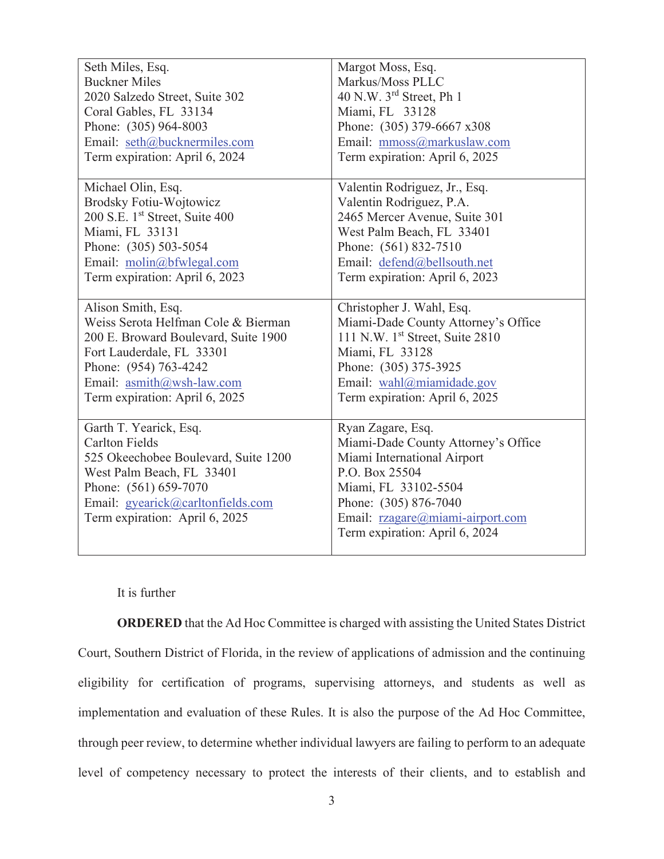| Seth Miles, Esq.                                                                                                                                                                                                     | Margot Moss, Esq.                                                                                                                                                                                                                |
|----------------------------------------------------------------------------------------------------------------------------------------------------------------------------------------------------------------------|----------------------------------------------------------------------------------------------------------------------------------------------------------------------------------------------------------------------------------|
| <b>Buckner Miles</b>                                                                                                                                                                                                 | Markus/Moss PLLC                                                                                                                                                                                                                 |
| 2020 Salzedo Street, Suite 302                                                                                                                                                                                       | 40 N.W. $3^{rd}$ Street, Ph 1                                                                                                                                                                                                    |
| Coral Gables, FL 33134                                                                                                                                                                                               | Miami, FL 33128                                                                                                                                                                                                                  |
| Phone: (305) 964-8003                                                                                                                                                                                                | Phone: (305) 379-6667 x308                                                                                                                                                                                                       |
| Email: seth@bucknermiles.com                                                                                                                                                                                         | Email: mmoss@markuslaw.com                                                                                                                                                                                                       |
| Term expiration: April 6, 2024                                                                                                                                                                                       | Term expiration: April 6, 2025                                                                                                                                                                                                   |
| Michael Olin, Esq.                                                                                                                                                                                                   | Valentin Rodriguez, Jr., Esq.                                                                                                                                                                                                    |
| <b>Brodsky Fotiu-Wojtowicz</b>                                                                                                                                                                                       | Valentin Rodriguez, P.A.                                                                                                                                                                                                         |
| 200 S.E. 1 <sup>st</sup> Street, Suite 400                                                                                                                                                                           | 2465 Mercer Avenue, Suite 301                                                                                                                                                                                                    |
| Miami, FL 33131                                                                                                                                                                                                      | West Palm Beach, FL 33401                                                                                                                                                                                                        |
| Phone: (305) 503-5054                                                                                                                                                                                                | Phone: (561) 832-7510                                                                                                                                                                                                            |
| Email: molin@bfwlegal.com                                                                                                                                                                                            | Email: defend@bellsouth.net                                                                                                                                                                                                      |
| Term expiration: April 6, 2023                                                                                                                                                                                       | Term expiration: April 6, 2023                                                                                                                                                                                                   |
| Alison Smith, Esq.                                                                                                                                                                                                   | Christopher J. Wahl, Esq.                                                                                                                                                                                                        |
| Weiss Serota Helfman Cole & Bierman                                                                                                                                                                                  | Miami-Dade County Attorney's Office                                                                                                                                                                                              |
| 200 E. Broward Boulevard, Suite 1900                                                                                                                                                                                 | 111 N.W. 1st Street, Suite 2810                                                                                                                                                                                                  |
| Fort Lauderdale, FL 33301                                                                                                                                                                                            | Miami, FL 33128                                                                                                                                                                                                                  |
| Phone: (954) 763-4242                                                                                                                                                                                                | Phone: (305) 375-3925                                                                                                                                                                                                            |
| Email: asmith@wsh-law.com                                                                                                                                                                                            | Email: wahl@miamidade.gov                                                                                                                                                                                                        |
| Term expiration: April 6, 2025                                                                                                                                                                                       | Term expiration: April 6, 2025                                                                                                                                                                                                   |
| Garth T. Yearick, Esq.<br><b>Carlton Fields</b><br>525 Okeechobee Boulevard, Suite 1200<br>West Palm Beach, FL 33401<br>Phone: (561) 659-7070<br>Email: gyearick@carltonfields.com<br>Term expiration: April 6, 2025 | Ryan Zagare, Esq.<br>Miami-Dade County Attorney's Office<br>Miami International Airport<br>P.O. Box 25504<br>Miami, FL 33102-5504<br>Phone: (305) 876-7040<br>Email: rzagare@miami-airport.com<br>Term expiration: April 6, 2024 |

### It is further

**ORDERED** that the Ad Hoc Committee is charged with assisting the United States District Court, Southern District of Florida, in the review of applications of admission and the continuing eligibility for certification of programs, supervising attorneys, and students as well as implementation and evaluation of these Rules. It is also the purpose of the Ad Hoc Committee, through peer review, to determine whether individual lawyers are failing to perform to an adequate level of competency necessary to protect the interests of their clients, and to establish and